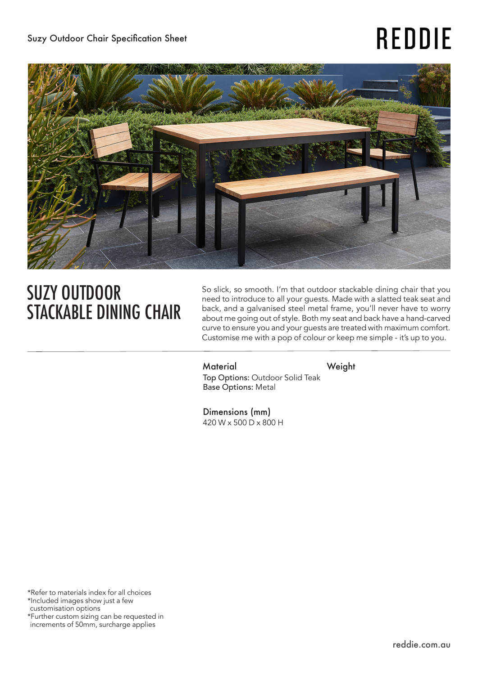# **REDDIE**



## SUZY OUTDOOR STACKABLE DINING CHAIR

So slick, so smooth. I'm that outdoor stackable dining chair that you need to introduce to all your guests. Made with a slatted teak seat and back, and a galvanised steel metal frame, you'll never have to worry about me going out of style. Both my seat and back have a hand-carved curve to ensure you and your guests are treated with maximum comfort. Customise me with a pop of colour or keep me simple - it's up to you.

Material Weight Top Options: Outdoor Solid Teak Base Options: Metal

Dimensions (mm) 420 W x 500 D x 800 H

\*Refer to materials index for all choices \*Included images show just a few customisation options \*Further custom sizing can be requested in increments of 50mm, surcharge applies